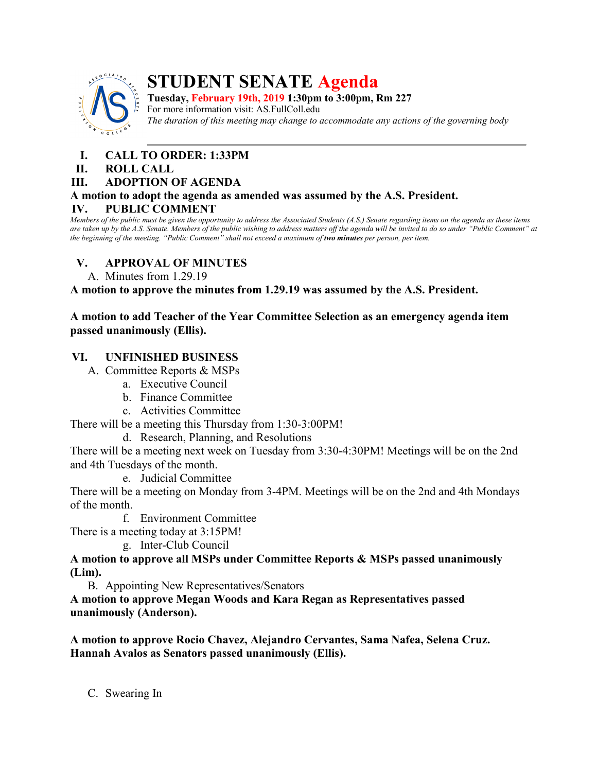

# **STUDENT SENATE Agenda**

**Tuesday, February 19th, 2019 1:30pm to 3:00pm, Rm 227** For more information visit: AS.FullColl.edu *The duration of this meeting may change to accommodate any actions of the governing body*

## **I. CALL TO ORDER: 1:33PM**

#### **II. ROLL CALL**

#### **III. ADOPTION OF AGENDA**

#### **A motion to adopt the agenda as amended was assumed by the A.S. President. IV. PUBLIC COMMENT**

*Members of the public must be given the opportunity to address the Associated Students (A.S.) Senate regarding items on the agenda as these items are taken up by the A.S. Senate. Members of the public wishing to address matters off the agenda will be invited to do so under "Public Comment" at the beginning of the meeting. "Public Comment" shall not exceed a maximum of two minutes per person, per item.*

## **V. APPROVAL OF MINUTES**

A. Minutes from 1.29.19

**A motion to approve the minutes from 1.29.19 was assumed by the A.S. President.**

## **A motion to add Teacher of the Year Committee Selection as an emergency agenda item passed unanimously (Ellis).**

## **VI. UNFINISHED BUSINESS**

A. Committee Reports & MSPs

- a. Executive Council
- b. Finance Committee
- c. Activities Committee

There will be a meeting this Thursday from 1:30-3:00PM!

d. Research, Planning, and Resolutions

There will be a meeting next week on Tuesday from 3:30-4:30PM! Meetings will be on the 2nd and 4th Tuesdays of the month.

e. Judicial Committee

There will be a meeting on Monday from 3-4PM. Meetings will be on the 2nd and 4th Mondays of the month.

f. Environment Committee

There is a meeting today at 3:15PM!

g. Inter-Club Council

**A motion to approve all MSPs under Committee Reports & MSPs passed unanimously (Lim).** 

B. Appointing New Representatives/Senators

**A motion to approve Megan Woods and Kara Regan as Representatives passed unanimously (Anderson).**

**A motion to approve Rocio Chavez, Alejandro Cervantes, Sama Nafea, Selena Cruz. Hannah Avalos as Senators passed unanimously (Ellis).**

C. Swearing In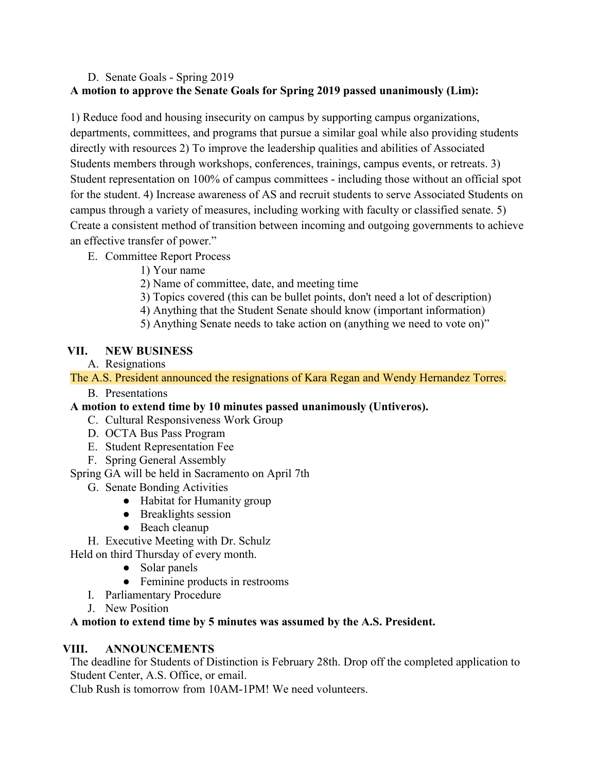## D. Senate Goals - Spring 2019 **A motion to approve the Senate Goals for Spring 2019 passed unanimously (Lim):**

1) Reduce food and housing insecurity on campus by supporting campus organizations, departments, committees, and programs that pursue a similar goal while also providing students directly with resources 2) To improve the leadership qualities and abilities of Associated Students members through workshops, conferences, trainings, campus events, or retreats. 3) Student representation on 100% of campus committees - including those without an official spot for the student. 4) Increase awareness of AS and recruit students to serve Associated Students on campus through a variety of measures, including working with faculty or classified senate. 5) Create a consistent method of transition between incoming and outgoing governments to achieve an effective transfer of power."

- E. Committee Report Process
	- 1) Your name
	- 2) Name of committee, date, and meeting time
	- 3) Topics covered (this can be bullet points, don't need a lot of description)
	- 4) Anything that the Student Senate should know (important information)
	- 5) Anything Senate needs to take action on (anything we need to vote on)"

## **VII. NEW BUSINESS**

A. Resignations

The A.S. President announced the resignations of Kara Regan and Wendy Hernandez Torres.

B. Presentations

## **A motion to extend time by 10 minutes passed unanimously (Untiveros).**

- C. Cultural Responsiveness Work Group
- D. OCTA Bus Pass Program
- E. Student Representation Fee
- F. Spring General Assembly

Spring GA will be held in Sacramento on April 7th

- G. Senate Bonding Activities
	- Habitat for Humanity group
	- Breaklights session
	- Beach cleanup

H. Executive Meeting with Dr. Schulz

Held on third Thursday of every month.

- Solar panels
- Feminine products in restrooms
- I. Parliamentary Procedure
- J. New Position

## **A motion to extend time by 5 minutes was assumed by the A.S. President.**

## **VIII. ANNOUNCEMENTS**

The deadline for Students of Distinction is February 28th. Drop off the completed application to Student Center, A.S. Office, or email.

Club Rush is tomorrow from 10AM-1PM! We need volunteers.